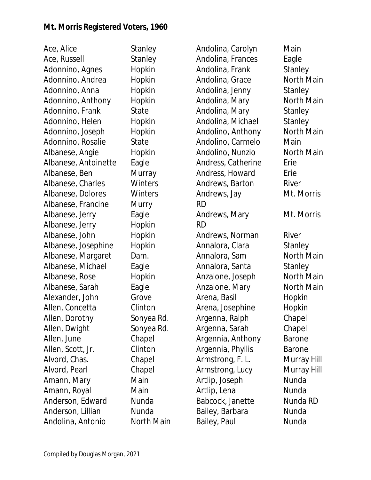Ace, Alice Stanley Ace, Russell Stanley Adonnino, Agnes Hopkin Adonnino, Andrea Hopkin Adonnino, Anna Hopkin Adonnino, Anthony Hopkin Adonnino, Frank State Adonnino, Helen Hopkin Adonnino, Joseph Hopkin Adonnino, Rosalie State Albanese, Angie Hopkin Albanese, Antoinette Eagle Albanese, Ben Murray Albanese, Charles Winters Albanese, Dolores Winters Albanese, Francine Murry Albanese, Jerry Eagle Albanese, Jerry Hopkin Albanese, John Hopkin Albanese, Josephine Hopkin Albanese, Margaret Dam. Albanese, Michael Eagle Albanese, Rose Hopkin Albanese, Sarah Eagle Alexander, John Grove Allen, Concetta Clinton Allen, Dorothy Sonyea Rd. Allen, Dwight Sonyea Rd. Allen, June Chapel Allen, Scott, Jr. Clinton Alvord, Chas. Chapel Alvord, Pearl Chapel Amann, Mary **Main** Amann, Royal Main Anderson, Edward Nunda Anderson, Lillian Nunda Andolina, Antonio North Main

Andolina, Carolyn Main Andolina, Frances Eagle Andolina, Frank Stanley Andolina, Grace North Main Andolina, Jenny Stanley Andolina, Mary **North Main** Andolina, Mary Stanley Andolina, Michael Stanley Andolino, Anthony North Main Andolino, Carmelo Main Andolino, Nunzio  $\overline{\phantom{a}}$  North Main Andress, Catherine Erie Andress, Howard Erie Andrews, Barton River Andrews, Jay Mt. Morris RD Andrews, Mary Mt. Morris RD Andrews, Norman River Annalora, Clara Stanley Annalora, Sam North Main Annalora, Santa Stanley Anzalone, Joseph North Main Anzalone, Mary North Main Arena, Basil **Hopkin** Arena, Josephine Hopkin Argenna, Ralph Chapel Argenna, Sarah Chapel Argennia, Anthony Barone Argennia, Phyllis Barone Armstrong, F. L. Murray Hill Armstrong, Lucy Murray Hill Artlip, Joseph Nunda Artlip, Lena Nunda Babcock, Janette Nunda RD Bailey, Barbara **Nunda** Bailey, Paul Nunda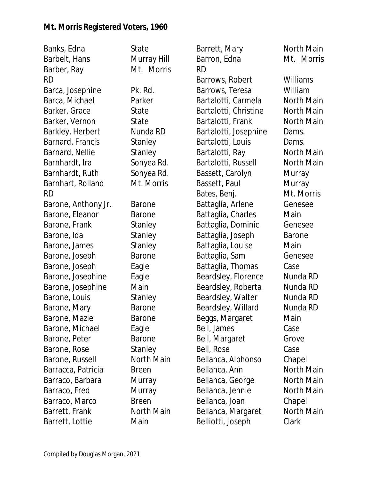| Banks, Edna         | State         | Barrett, Mary         | North Main    |
|---------------------|---------------|-----------------------|---------------|
| Barbelt, Hans       | Murray Hill   | Barron, Edna          | Mt. Morris    |
| Barber, Ray         | Mt. Morris    | <b>RD</b>             |               |
| <b>RD</b>           |               | Barrows, Robert       | Williams      |
| Barca, Josephine    | Pk. Rd.       | Barrows, Teresa       | William       |
| Barca, Michael      | Parker        | Bartalotti, Carmela   | North Main    |
| Barker, Grace       | State         | Bartalotti, Christine | North Main    |
| Barker, Vernon      | State         | Bartalotti, Frank     | North Main    |
| Barkley, Herbert    | Nunda RD      | Bartalotti, Josephine | Dams.         |
| Barnard, Francis    | Stanley       | Bartalotti, Louis     | Dams.         |
| Barnard, Nellie     | Stanley       | Bartalotti, Ray       | North Main    |
| Barnhardt, Ira      | Sonyea Rd.    | Bartalotti, Russell   | North Main    |
| Barnhardt, Ruth     | Sonyea Rd.    | Bassett, Carolyn      | Murray        |
| Barnhart, Rolland   | Mt. Morris    | Bassett, Paul         | Murray        |
| <b>RD</b>           |               | Bates, Benj.          | Mt. Morris    |
| Barone, Anthony Jr. | Barone        | Battaglia, Arlene     | Genesee       |
| Barone, Eleanor     | Barone        | Battaglia, Charles    | Main          |
| Barone, Frank       | Stanley       | Battaglia, Dominic    | Genesee       |
| Barone, Ida         | Stanley       | Battaglia, Joseph     | <b>Barone</b> |
| Barone, James       | Stanley       | Battaglia, Louise     | Main          |
| Barone, Joseph      | <b>Barone</b> | Battaglia, Sam        | Genesee       |
| Barone, Joseph      | Eagle         | Battaglia, Thomas     | Case          |
| Barone, Josephine   | Eagle         | Beardsley, Florence   | Nunda RD      |
| Barone, Josephine   | Main          | Beardsley, Roberta    | Nunda RD      |
| Barone, Louis       | Stanley       | Beardsley, Walter     | Nunda RD      |
| Barone, Mary        | <b>Barone</b> | Beardsley, Willard    | Nunda RD      |
| Barone, Mazie       | Barone        | Beggs, Margaret       | Main          |
| Barone, Michael     | Eagle         | Bell, James           | Case          |
| Barone, Peter       | Barone        | Bell, Margaret        | Grove         |
| Barone, Rose        | Stanley       | Bell, Rose            | Case          |
| Barone, Russell     | North Main    | Bellanca, Alphonso    | Chapel        |
| Barracca, Patricia  | Breen         | Bellanca, Ann         | North Main    |
| Barraco, Barbara    | Murray        | Bellanca, George      | North Main    |
| Barraco, Fred       | Murray        | Bellanca, Jennie      | North Main    |
| Barraco, Marco      | <b>Breen</b>  | Bellanca, Joan        | Chapel        |
| Barrett, Frank      | North Main    | Bellanca, Margaret    | North Main    |
| Barrett, Lottie     | Main          | Belliotti, Joseph     | Clark         |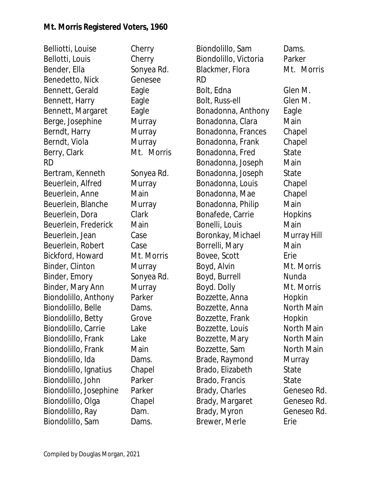Belliotti, Louise Cherry Bellotti, Louis Cherry Bender, Ella Sonyea Rd. Benedetto, Nick Genesee Bennett, Gerald Eagle Bennett, Harry Eagle Bennett, Margaret Eagle Berge, Josephine Murray Berndt, Harry Murray Berndt, Viola Murray Berry, Clark Mt. Morris RD Bertram, Kenneth Sonyea Rd. Beuerlein, Alfred Murray Beuerlein, Anne Main Beuerlein, Blanche Murray Beuerlein, Dora Clark Beuerlein, Frederick Main Beuerlein, Jean Case Beuerlein, Robert Case Bickford, Howard Mt. Morris Binder, Clinton Murray Binder, Emory Sonyea Rd. Binder, Mary Ann Murray Biondolillo, Anthony Parker Biondolillo, Belle Dams. Biondolillo, Betty Grove Biondolillo, Carrie Lake Biondolillo, Frank Lake Biondolillo, Frank Main Biondolillo, Ida Dams. Biondolillo, Ignatius Chapel Biondolillo, John Parker Biondolillo, Josephine Parker Biondolillo, Olga Chapel Biondolillo, Ray Dam. Biondolillo, Sam Dams.

Biondolillo, Sam Dams. Biondolillo, Victoria Parker Blackmer, Flora Mt. Morris RD Bolt, Edna Glen M. Bolt, Russ-ell Glen M. Bonadonna, Anthony Eagle Bonadonna, Clara Main Bonadonna, Frances Chapel Bonadonna, Frank Chapel Bonadonna, Fred State Bonadonna, Joseph Main Bonadonna, Joseph State Bonadonna, Louis Chapel Bonadonna, Mae Chapel Bonadonna, Philip Main Bonafede, Carrie Hopkins Bonelli, Louis Main Boronkay, Michael Murray Hill Borrelli, Mary **Main** Bovee, Scott Erie Boyd, Alvin Mt. Morris Boyd, Burrell Nunda Boyd. Dolly Mt. Morris Bozzette, Anna ann Hopkin Bozzette, Anna Morth Main Bozzette, Frank Hopkin Bozzette, Louis North Main Bozzette, Mary North Main Bozzette, Sam North Main Brade, Raymond Murray Brado, Elizabeth State Brado, Francis State Brady, Charles Geneseo Rd. Brady, Margaret Geneseo Rd. Brady, Myron Geneseo Rd. Brewer, Merle **Erie**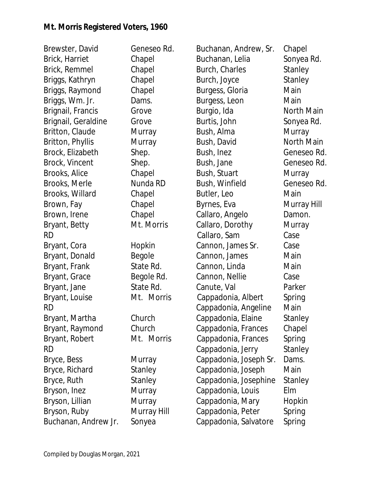| Brewster, David      | Geneseo Rd. | Buchanan, Andrew, Sr.  | Chapel      |
|----------------------|-------------|------------------------|-------------|
| Brick, Harriet       | Chapel      | Buchanan, Lelia        | Sonyea Rd.  |
| Brick, Remmel        | Chapel      | Burch, Charles         | Stanley     |
| Briggs, Kathryn      | Chapel      | Burch, Joyce           | Stanley     |
| Briggs, Raymond      | Chapel      | Burgess, Gloria        | Main        |
| Briggs, Wm. Jr.      | Dams.       | Burgess, Leon          | Main        |
| Brignail, Francis    | Grove       | Burgio, Ida            | North Main  |
| Brignail, Geraldine  | Grove       | Burtis, John           | Sonyea Rd.  |
| Britton, Claude      | Murray      | Bush, Alma             | Murray      |
| Britton, Phyllis     | Murray      | Bush, David            | North Main  |
| Brock, Elizabeth     | Shep.       | Bush, Inez             | Geneseo Rd. |
| Brock, Vincent       | Shep.       | Bush, Jane             | Geneseo Rd. |
| Brooks, Alice        | Chapel      | Bush, Stuart           | Murray      |
| Brooks, Merle        | Nunda RD    | Bush, Winfield         | Geneseo Rd. |
| Brooks, Willard      | Chapel      | Butler, Leo            | Main        |
| Brown, Fay           | Chapel      | Byrnes, Eva            | Murray Hill |
| Brown, Irene         | Chapel      | Callaro, Angelo        | Damon.      |
| Bryant, Betty        | Mt. Morris  | Callaro, Dorothy       | Murray      |
| <b>RD</b>            |             | Callaro, Sam           | Case        |
| Bryant, Cora         | Hopkin      | Cannon, James Sr.      | Case        |
| Bryant, Donald       | Begole      | Cannon, James          | Main        |
| Bryant, Frank        | State Rd.   | Cannon, Linda          | Main        |
| Bryant, Grace        | Begole Rd.  | Cannon, Nellie         | Case        |
| Bryant, Jane         | State Rd.   | Canute, Val            | Parker      |
| Bryant, Louise       | Mt. Morris  | Cappadonia, Albert     | Spring      |
| <b>RD</b>            |             | Cappadonia, Angeline   | Main        |
| Bryant, Martha       | Church      | Cappadonia, Elaine     | Stanley     |
| Bryant, Raymond      | Church      | Cappadonia, Frances    | Chapel      |
| Bryant, Robert       | Mt. Morris  | Cappadonia, Frances    | Spring      |
| <b>RD</b>            |             | Cappadonia, Jerry      | Stanley     |
| Bryce, Bess          | Murray      | Cappadonia, Joseph Sr. | Dams.       |
| Bryce, Richard       | Stanley     | Cappadonia, Joseph     | Main        |
| Bryce, Ruth          | Stanley     | Cappadonia, Josephine  | Stanley     |
| Bryson, Inez         | Murray      | Cappadonia, Louis      | Elm         |
| Bryson, Lillian      | Murray      | Cappadonia, Mary       | Hopkin      |
| Bryson, Ruby         | Murray Hill | Cappadonia, Peter      | Spring      |
| Buchanan, Andrew Jr. | Sonyea      | Cappadonia, Salvatore  | Spring      |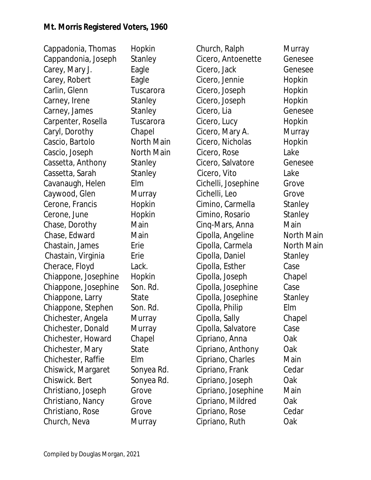Cappadonia, Thomas Hopkin Cappandonia, Joseph Stanley Carey, Mary J. Eagle Carey, Robert Eagle Carlin, Glenn Tuscarora Carney, Irene Stanley Carney, James Stanley Carpenter, Rosella Tuscarora Caryl, Dorothy Chapel Cascio, Bartolo North Main Cascio, Joseph North Main Cassetta, Anthony Stanley Cassetta, Sarah Stanley Cavanaugh, Helen Elm Caywood, Glen Murray Cerone, Francis Hopkin Cerone, June Hopkin Chase, Dorothy Main Chase, Edward Main Chastain, James Erie Chastain, Virginia Erie Cherace, Floyd Lack. Chiappone, Josephine Hopkin Chiappone, Josephine Son. Rd. Chiappone, Larry State Chiappone, Stephen Son. Rd. Chichester, Angela Murray Chichester, Donald Murray Chichester, Howard Chapel Chichester, Mary State Chichester, Raffie Elm Chiswick, Margaret Sonyea Rd. Chiswick. Bert Sonyea Rd. Christiano, Joseph Grove Christiano, Nancy Grove Christiano, Rose Grove Church, Neva **Murray** 

Church, Ralph Murray Cicero, Antoenette Genesee Cicero, Jack Genesee Cicero, Jennie Hopkin Cicero, Joseph Hopkin Cicero, Joseph Hopkin Cicero, Lia Genesee Cicero, Lucy Hopkin Cicero, Mary A. Murray Cicero, Nicholas Hopkin Cicero, Rose Lake Cicero, Salvatore Genesee Cicero, Vito Lake Cichelli, Josephine Grove Cichelli, Leo Grove Cimino, Carmella Stanley Cimino, Rosario Stanley Cinq-Mars, Anna Main Cipolla, Angeline North Main Cipolla, Carmela **North Main** Cipolla, Daniel Stanley Cipolla, Esther Case Cipolla, Joseph Chapel Cipolla, Josephine Case Cipolla, Josephine Stanley Cipolla, Philip Elm Cipolla, Sally Chapel Cipolla, Salvatore Case Cipriano, Anna Oak Cipriano, Anthony Oak Cipriano, Charles Main Cipriano, Frank Cedar Cipriano, Joseph Oak Cipriano, Josephine Main Cipriano, Mildred Oak Cipriano, Rose Cedar Cipriano, Ruth Oak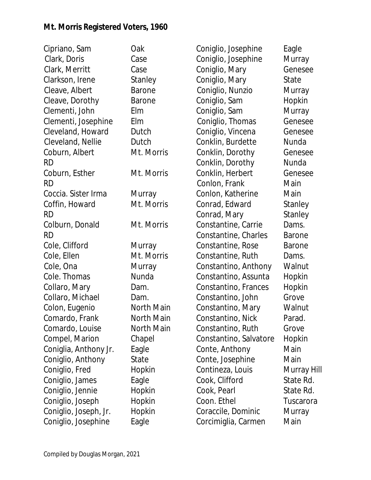Cipriano, Sam Oak Clark, Doris Case Clark, Merritt Case Clarkson, Irene Stanley Cleave, Albert Barone Cleave, Dorothy Barone Clementi, John Elm Clementi, Josephine Elm Cleveland, Howard Dutch Cleveland, Nellie Dutch Coburn, Albert Mt. Morris RD Coburn, Esther Mt. Morris RD Coccia. Sister Irma Murray Coffin, Howard Mt. Morris RD Colburn, Donald Mt. Morris RD Cole, Clifford Murray Cole, Ellen Mt. Morris Cole, Ona **Murray** Cole. Thomas Nunda Collaro, Mary **Dam.** Collaro, Michael Dam. Colon, Eugenio North Main Comardo, Frank North Main Comardo, Louise **North Main** Compel, Marion Chapel Coniglia, Anthony Jr. Eagle Coniglio, Anthony State Coniglio, Fred Hopkin Coniglio, James Eagle Coniglio, Jennie Hopkin Coniglio, Joseph Hopkin Coniglio, Joseph, Jr. Hopkin Coniglio, Josephine Eagle

Coniglio, Josephine Eagle Coniglio, Josephine Murray Coniglio, Mary Genesee Coniglio, Mary State Coniglio, Nunzio Murray Coniglio, Sam Hopkin Coniglio, Sam Murray Coniglio, Thomas Genesee Coniglio, Vincena Genesee Conklin, Burdette Nunda Conklin, Dorothy Genesee Conklin, Dorothy Nunda Conklin, Herbert Genesee Conlon, Frank Main Conlon, Katherine Main Conrad, Edward Stanley Conrad, Mary Stanley Constantine, Carrie Dams. Constantine, Charles Barone Constantine, Rose Barone Constantine, Ruth Dams. Constantino, Anthony Walnut Constantino, Assunta Hopkin Constantino, Frances Hopkin Constantino, John Grove Constantino, Mary Walnut Constantino, Nick Parad. Constantino, Ruth Grove Constantino, Salvatore Hopkin Conte, Anthony Main Conte, Josephine Main Contineza, Louis Murray Hill Cook, Clifford State Rd. Cook, Pearl State Rd. Coon. Ethel Tuscarora Coraccile, Dominic Murray Corcimiglia, Carmen Main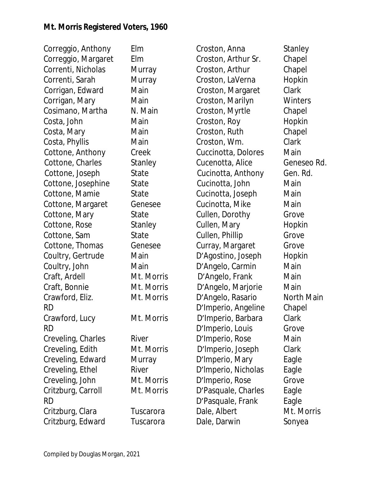Correggio, Anthony Elm Correggio, Margaret Elm Correnti, Nicholas Murray Correnti, Sarah Murray Corrigan, Edward Main Corrigan, Mary Main Cosimano, Martha N. Main Costa, John Main Costa, Mary **Main** Costa, Phyllis Main Cottone, Anthony Creek Cottone, Charles Stanley Cottone, Joseph State Cottone, Josephine State Cottone, Mamie State Cottone, Margaret Genesee Cottone, Mary State Cottone, Rose Stanley Cottone, Sam State Cottone, Thomas Genesee Coultry, Gertrude Main Coultry, John Main Craft, Ardell Mt. Morris Craft, Bonnie Mt. Morris Crawford, Eliz. Mt. Morris RD Crawford, Lucy Mt. Morris RD Creveling, Charles River Creveling, Edith Mt. Morris Creveling, Edward Murray Creveling, Ethel River Creveling, John Mt. Morris Critzburg, Carroll Mt. Morris RD Critzburg, Clara Tuscarora Critzburg, Edward Tuscarora

Croston, Anna Stanley Croston, Arthur Sr. Chapel Croston, Arthur Chapel Croston, LaVerna Hopkin Croston, Margaret Clark Croston, Marilyn Winters Croston, Myrtle Chapel Croston, Roy Hopkin Croston, Ruth Chapel Croston, Wm. Clark Cuccinotta, Dolores Main Cucenotta, Alice Geneseo Rd. Cucinotta, Anthony Gen. Rd. Cucinotta, John Main Cucinotta, Joseph Main Cucinotta, Mike Main Cullen, Dorothy Grove Cullen, Mary **Hopkin** Cullen, Phillip Grove Curray, Margaret Grove D'Agostino, Joseph Hopkin D'Angelo, Carmin Main D'Angelo, Frank Main D'Angelo, Marjorie Main D'Angelo, Rasario North Main D'Imperio, Angeline Chapel D'Imperio, Barbara Clark D'Imperio, Louis Grove D'Imperio, Rose Main D'Imperio, Joseph Clark D'Imperio, Mary Eagle D'Imperio, Nicholas Eagle D'Imperio, Rose Grove D'Pasquale, Charles Eagle D'Pasquale, Frank Eagle Dale, Albert Mt. Morris Dale, Darwin Sonyea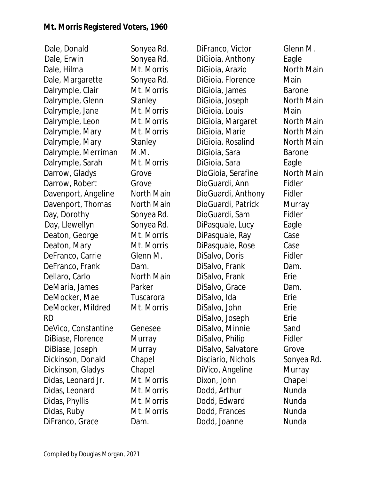Dale, Donald Sonyea Rd. Dale, Erwin Sonyea Rd. Dale, Hilma Mt. Morris Dale, Margarette Sonyea Rd. Dalrymple, Clair Mt. Morris Dalrymple, Glenn Stanley Dalrymple, Jane Mt. Morris Dalrymple, Leon Mt. Morris Dalrymple, Mary Mt. Morris Dalrymple, Mary Stanley Dalrymple, Merriman M.M. Dalrymple, Sarah Mt. Morris Darrow, Gladys Grove Darrow, Robert Grove Davenport, Angeline North Main Davenport, Thomas North Main Day, Dorothy Sonyea Rd. Day, Llewellyn Sonyea Rd. Deaton, George Mt. Morris Deaton, Mary Mt. Morris DeFranco, Carrie Glenn M. DeFranco, Frank Dam. Dellaro, Carlo North Main DeMaria, James Parker DeMocker, Mae Tuscarora DeMocker, Mildred Mt. Morris RD DeVico, Constantine Genesee DiBiase, Florence Murray DiBiase, Joseph Murray Dickinson, Donald Chapel Dickinson, Gladys Chapel Didas, Leonard Jr. Mt. Morris Didas, Leonard Mt. Morris Didas, Phyllis Mt. Morris Didas, Ruby Mt. Morris DiFranco, Grace Dam.

DiFranco, Victor Glenn M. DiGioia, Anthony Eagle DiGioia, Arazio **North Main** DiGioia, Florence Main DiGioia, James Barone DiGioia, Joseph North Main DiGioia, Louis Main DiGioia, Margaret North Main DiGioia, Marie **North Main** DiGioia, Rosalind North Main DiGioia, Sara **Barone** DiGioia, Sara **Eagle** DioGioia, Serafine North Main DioGuardi, Ann Fidler DioGuardi, Anthony Fidler DioGuardi, Patrick Murray DioGuardi, Sam Fidler DiPasquale, Lucy Eagle DiPasquale, Ray Case DiPasquale, Rose Case DiSalvo, Doris Fidler DiSalvo, Frank Dam. DiSalvo, Frank Erie DiSalvo, Grace Dam. DiSalvo, Ida **Erie** DiSalvo, John Erie DiSalvo, Joseph Erie DiSalvo, Minnie Sand DiSalvo, Philip Fidler DiSalvo, Salvatore Grove Disciario, Nichols Sonyea Rd. DiVico, Angeline Murray Dixon, John Chapel Dodd, Arthur Nunda Dodd, Edward Nunda Dodd, Frances Nunda Dodd, Joanne Nunda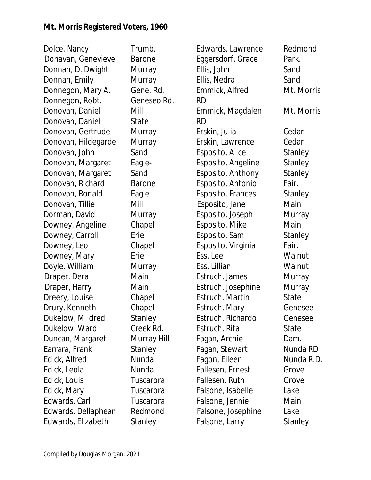| Dolce, Nancy        | Trumb.        | Edwards, Lawrence  | Redmor  |
|---------------------|---------------|--------------------|---------|
| Donavan, Genevieve  | <b>Barone</b> | Eggersdorf, Grace  | Park.   |
| Donnan, D. Dwight   | Murray        | Ellis, John        | Sand    |
| Donnan, Emily       | Murray        | Ellis, Nedra       | Sand    |
| Donnegon, Mary A.   | Gene. Rd.     | Emmick, Alfred     | Mt. Mor |
| Donnegon, Robt.     | Geneseo Rd.   | RD                 |         |
| Donovan, Daniel     | Mill          | Emmick, Magdalen   | Mt. Mor |
| Donovan, Daniel     | State         | <b>RD</b>          |         |
| Donovan, Gertrude   | Murray        | Erskin, Julia      | Cedar   |
| Donovan, Hildegarde | Murray        | Erskin, Lawrence   | Cedar   |
| Donovan, John       | Sand          | Esposito, Alice    | Stanley |
| Donovan, Margaret   | Eagle-        | Esposito, Angeline | Stanley |
| Donovan, Margaret   | Sand          | Esposito, Anthony  | Stanley |
| Donovan, Richard    | <b>Barone</b> | Esposito, Antonio  | Fair.   |
| Donovan, Ronald     | Eagle         | Esposito, Frances  | Stanley |
| Donovan, Tillie     | Mill          | Esposito, Jane     | Main    |
| Dorman, David       | Murray        | Esposito, Joseph   | Murray  |
| Downey, Angeline    | Chapel        | Esposito, Mike     | Main    |
| Downey, Carroll     | Erie          | Esposito, Sam      | Stanley |
| Downey, Leo         | Chapel        | Esposito, Virginia | Fair.   |
| Downey, Mary        | Erie          | Ess, Lee           | Walnut  |
| Doyle. William      | Murray        | Ess, Lillian       | Walnut  |
| Draper, Dera        | Main          | Estruch, James     | Murray  |
| Draper, Harry       | Main          | Estruch, Josephine | Murray  |
| Dreery, Louise      | Chapel        | Estruch, Martin    | State   |
| Drury, Kenneth      | Chapel        | Estruch, Mary      | Genese  |
| Dukelow, Mildred    | Stanley       | Estruch, Richardo  | Genese  |
| Dukelow, Ward       | Creek Rd.     | Estruch, Rita      | State   |
| Duncan, Margaret    | Murray Hill   | Fagan, Archie      | Dam.    |
| Earrara, Frank      | Stanley       | Fagan, Stewart     | Nunda F |
| Edick, Alfred       | Nunda         | Fagon, Eileen      | Nunda F |
| Edick, Leola        | Nunda         | Fallesen, Ernest   | Grove   |
| Edick, Louis        | Tuscarora     | Fallesen, Ruth     | Grove   |
| Edick, Mary         | Tuscarora     | Falsone, Isabelle  | Lake    |
| Edwards, Carl       | Tuscarora     | Falsone, Jennie    | Main    |
| Edwards, Dellaphean | Redmond       | Falsone, Josephine | Lake    |
| Edwards, Elizabeth  | Stanley       | Falsone, Larry     | Stanley |

Redmond

Mt. Morris

Mt. Morris

Walnut Walnut Murray Murray State Genesee Genesee

Nunda RD Nunda R.D.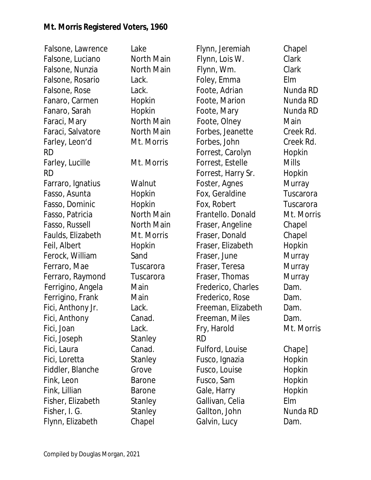Falsone, Lawrence Lake Falsone, Luciano North Main Falsone, Nunzia **North Main** Falsone, Rosario Lack. Falsone, Rose Lack. Fanaro, Carmen Hopkin Fanaro, Sarah **Hopkin** Faraci, Mary North Main Faraci, Salvatore North Main Farley, Leon'd Mt. Morris RD Farley, Lucille Mt. Morris RD Farraro, Ignatius Walnut Fasso, Asunta **Hopkin** Fasso, Dominic Hopkin Fasso, Patricia Morth Main Fasso, Russell North Main Faulds, Elizabeth Mt. Morris Feil, Albert Hopkin Ferock, William Sand Ferraro, Mae Tuscarora Ferraro, Raymond Tuscarora Ferrigino, Angela Main Ferrigino, Frank Main Fici, Anthony Jr. Lack. Fici, Anthony Canad. Fici, Joan Lack. Fici, Joseph Stanley Fici, Laura **Canad.** Fici, Loretta Stanley Fiddler, Blanche Grove Fink, Leon Barone Fink, Lillian Barone Fisher, Elizabeth Stanley Fisher, I. G. Stanley Flynn, Elizabeth Chapel

Flynn, Jeremiah Chapel Flynn, Lois W. Clark Flynn, Wm. Clark Foley, Emma Elm Foote, Adrian **Nunda RD** Foote, Marion **Nunda RD** Foote, Mary **Nunda RD** Foote, Olney Main Forbes, Jeanette Creek Rd. Forbes, John Creek Rd. Forrest, Carolyn Hopkin Forrest, Estelle Mills Forrest, Harry Sr. Hopkin Foster, Agnes Murray Fox, Geraldine Tuscarora Fox, Robert Tuscarora Frantello. Donald Mt. Morris Fraser, Angeline Chapel Fraser, Donald Chapel Fraser, Elizabeth Hopkin Fraser, June Murray Fraser, Teresa Murray Fraser, Thomas Murray Frederico, Charles **Dam.** Frederico, Rose Dam. Freeman, Elizabeth Dam. Freeman, Miles **Dam.** Fry, Harold Mt. Morris RD Fulford, Louise Chape] Fusco, Ignazia Hopkin Fusco, Louise Hopkin Fusco, Sam Hopkin Gale, Harry **Hopkin** Gallivan, Celia Elm Gallton, John Nunda RD Galvin, Lucy Dam.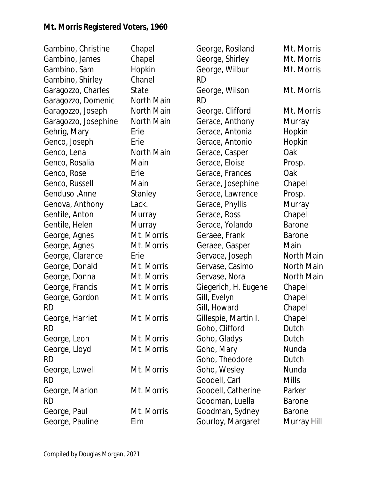| Gambino, Christine   | Chapel     | George, Rosiland     | Mt. Morris    |
|----------------------|------------|----------------------|---------------|
| Gambino, James       | Chapel     | George, Shirley      | Mt. Morris    |
| Gambino, Sam         | Hopkin     | George, Wilbur       | Mt. Morris    |
| Gambino, Shirley     | Chanel     | <b>RD</b>            |               |
| Garagozzo, Charles   | State      | George, Wilson       | Mt. Morris    |
| Garagozzo, Domenic   | North Main | <b>RD</b>            |               |
| Garagozzo, Joseph    | North Main | George. Clifford     | Mt. Morris    |
| Garagozzo, Josephine | North Main | Gerace, Anthony      | Murray        |
| Gehrig, Mary         | Erie       | Gerace, Antonia      | Hopkin        |
| Genco, Joseph        | Erie       | Gerace, Antonio      | Hopkin        |
| Genco, Lena          | North Main | Gerace, Casper       | Oak           |
| Genco, Rosalia       | Main       | Gerace, Eloise       | Prosp.        |
| Genco, Rose          | Erie       | Gerace, Frances      | Oak           |
| Genco, Russell       | Main       | Gerace, Josephine    | Chapel        |
| Genduso , Anne       | Stanley    | Gerace, Lawrence     | Prosp.        |
| Genova, Anthony      | Lack.      | Gerace, Phyllis      | Murray        |
| Gentile, Anton       | Murray     | Gerace, Ross         | Chapel        |
| Gentile, Helen       | Murray     | Gerace, Yolando      | <b>Barone</b> |
| George, Agnes        | Mt. Morris | Geraee, Frank        | <b>Barone</b> |
| George, Agnes        | Mt. Morris | Geraee, Gasper       | Main          |
| George, Clarence     | Erie       | Gervace, Joseph      | North Main    |
| George, Donald       | Mt. Morris | Gervase, Casimo      | North Main    |
| George, Donna        | Mt. Morris | Gervase, Nora        | North Main    |
| George, Francis      | Mt. Morris | Giegerich, H. Eugene | Chapel        |
| George, Gordon       | Mt. Morris | Gill, Evelyn         | Chapel        |
| <b>RD</b>            |            | Gill, Howard         | Chapel        |
| George, Harriet      | Mt. Morris | Gillespie, Martin I. | Chapel        |
| <b>RD</b>            |            | Goho, Clifford       | Dutch         |
| George, Leon         | Mt. Morris | Goho, Gladys         | Dutch         |
| George, Lloyd        | Mt. Morris | Goho, Mary           | Nunda         |
| <b>RD</b>            |            | Goho, Theodore       | Dutch         |
| George, Lowell       | Mt. Morris | Goho, Wesley         | Nunda         |
| <b>RD</b>            |            | Goodell, Carl        | <b>Mills</b>  |
| George, Marion       | Mt. Morris | Goodell, Catherine   | Parker        |
| <b>RD</b>            |            | Goodman, Luella      | <b>Barone</b> |
| George, Paul         | Mt. Morris | Goodman, Sydney      | <b>Barone</b> |
| George, Pauline      | Elm        | Gourloy, Margaret    | Murray Hill   |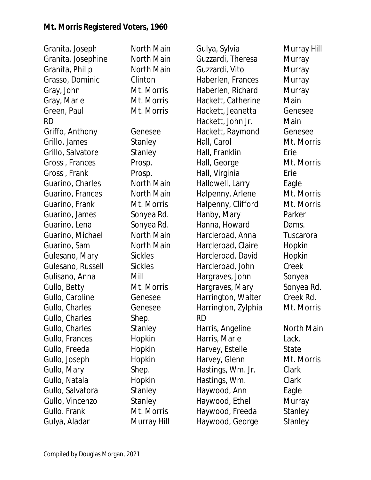Granita, Joseph North Main Granita, Josephine North Main Granita, Philip North Main Grasso, Dominic Clinton Gray, John Mt. Morris Gray, Marie Mt. Morris Green, Paul Mt. Morris RD Griffo, Anthony Genesee Grillo, James Stanley Grillo, Salvatore Stanley Grossi, Frances Prosp. Grossi, Frank Prosp. Guarino, Charles North Main Guarino, Frances North Main Guarino, Frank Mt. Morris Guarino, James Sonyea Rd. Guarino, Lena Sonyea Rd. Guarino, Michael North Main Guarino, Sam North Main Gulesano, Mary Sickles Gulesano, Russell Sickles Gulisano, Anna Mill Gullo, Betty Mt. Morris Gullo, Caroline Genesee Gullo, Charles Genesee Gullo, Charles Shep. Gullo, Charles Stanley Gullo, Frances Hopkin Gullo, Freeda Hopkin Gullo, Joseph Hopkin Gullo, Mary Shep. Gullo, Natala **Hopkin** Gullo, Salvatora Stanley Gullo, Vincenzo Stanley Gullo. Frank Mt. Morris Gulya, Aladar Murray Hill

Gulya, Sylvia Murray Hill Guzzardi, Theresa Murray Guzzardi, Vito Murray Haberlen, Frances Murray Haberlen, Richard Murray Hackett, Catherine Main Hackett, Jeanetta Genesee Hackett, John Jr. Main Hackett, Raymond Genesee Hall, Carol **Mt. Morris** Hall, Franklin Erie Hall, George Mt. Morris Hall, Virginia Erie Hallowell, Larry Eagle Halpenny, Arlene Mt. Morris Halpenny, Clifford Mt. Morris Hanby, Mary Parker Hanna, Howard **Dams.** Harcleroad, Anna Tuscarora Harcleroad, Claire Hopkin Harcleroad, David Hopkin Harcleroad, John Creek Hargraves, John Sonyea Hargraves, Mary Sonyea Rd. Harrington, Walter Creek Rd. Harrington, Zylphia Mt. Morris RD Harris, Angeline **North Main** Harris, Marie **Lack.** Harvey, Estelle State Harvey, Glenn Mt. Morris Hastings, Wm. Jr. Clark Hastings, Wm. Clark Haywood, Ann Eagle Haywood, Ethel Murray Haywood, Freeda Stanley Haywood, George Stanley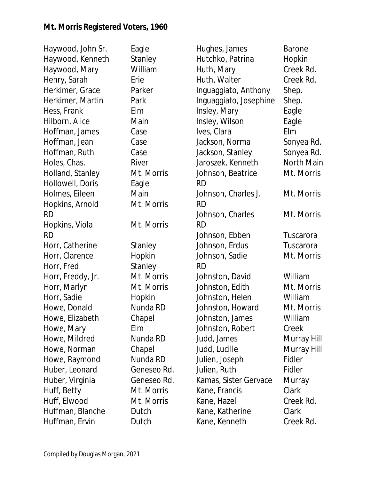| Haywood, John Sr. | Eagle       | Hughes, James          | <b>Barone</b> |
|-------------------|-------------|------------------------|---------------|
| Haywood, Kenneth  | Stanley     | Hutchko, Patrina       | Hopkin        |
| Haywood, Mary     | William     | Huth, Mary             | Creek Rd.     |
| Henry, Sarah      | Erie        | Huth, Walter           | Creek Rd.     |
| Herkimer, Grace   | Parker      | Inguaggiato, Anthony   | Shep.         |
| Herkimer, Martin  | Park        | Inguaggiato, Josephine | Shep.         |
| Hess, Frank       | Elm         | Insley, Mary           | Eagle         |
| Hilborn, Alice    | Main        | Insley, Wilson         | Eagle         |
| Hoffman, James    | Case        | Ives, Clara            | Elm           |
| Hoffman, Jean     | Case        | Jackson, Norma         | Sonyea Rd.    |
| Hoffman, Ruth     | Case        | Jackson, Stanley       | Sonyea Rd.    |
| Holes, Chas.      | River       | Jaroszek, Kenneth      | North Main    |
| Holland, Stanley  | Mt. Morris  | Johnson, Beatrice      | Mt. Morris    |
| Hollowell, Doris  | Eagle       | <b>RD</b>              |               |
| Holmes, Eileen    | Main        | Johnson, Charles J.    | Mt. Morris    |
| Hopkins, Arnold   | Mt. Morris  | <b>RD</b>              |               |
| <b>RD</b>         |             | Johnson, Charles       | Mt. Morris    |
| Hopkins, Viola    | Mt. Morris  | <b>RD</b>              |               |
| <b>RD</b>         |             | Johnson, Ebben         | Tuscarora     |
| Horr, Catherine   | Stanley     | Johnson, Erdus         | Tuscarora     |
| Horr, Clarence    | Hopkin      | Johnson, Sadie         | Mt. Morris    |
| Horr, Fred        | Stanley     | <b>RD</b>              |               |
| Horr, Freddy, Jr. | Mt. Morris  | Johnston, David        | William       |
| Horr, Marlyn      | Mt. Morris  | Johnston, Edith        | Mt. Morris    |
| Horr, Sadie       | Hopkin      | Johnston, Helen        | William       |
| Howe, Donald      | Nunda RD    | Johnston, Howard       | Mt. Morris    |
| Howe, Elizabeth   | Chapel      | Johnston, James        | William       |
| Howe, Mary        | Elm         | Johnston, Robert       | Creek         |
| Howe, Mildred     | Nunda RD    | Judd, James            | Murray Hill   |
| Howe, Norman      | Chapel      | Judd, Lucille          | Murray Hill   |
| Howe, Raymond     | Nunda RD    | Julien, Joseph         | Fidler        |
| Huber, Leonard    | Geneseo Rd. | Julien, Ruth           | Fidler        |
| Huber, Virginia   | Geneseo Rd. | Kamas, Sister Gervace  | Murray        |
| Huff, Betty       | Mt. Morris  | Kane, Francis          | Clark         |
| Huff, Elwood      | Mt. Morris  | Kane, Hazel            | Creek Rd.     |
| Huffman, Blanche  | Dutch       | Kane, Katherine        | Clark         |
| Huffman, Ervin    | Dutch       | Kane, Kenneth          | Creek Rd.     |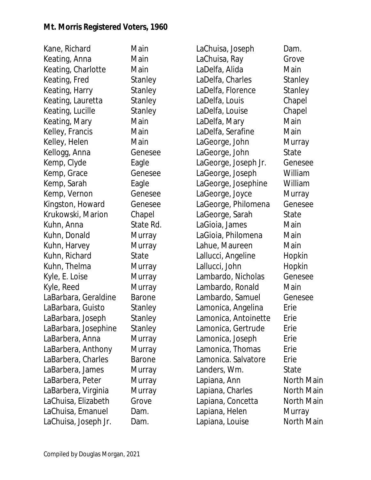Kane, Richard Main Keating, Anna Main Keating, Charlotte Main Keating, Fred Stanley Keating, Harry Stanley Keating, Lauretta Stanley Keating, Lucille Stanley Keating, Mary Main Kelley, Francis Main Kelley, Helen Main Kellogg, Anna Genesee Kemp, Clyde Eagle Kemp, Grace Genesee Kemp, Sarah **Eagle** Kemp, Vernon Genesee Kingston, Howard Genesee Krukowski, Marion Chapel Kuhn, Anna State Rd. Kuhn, Donald Murray Kuhn, Harvey Murray Kuhn, Richard State Kuhn, Thelma Murray Kyle, E. Loise Murray Kyle, Reed Murray LaBarbara, Geraldine Barone LaBarbara, Guisto Stanley LaBarbara, Joseph Stanley LaBarbara, Josephine Stanley LaBarbera, Anna Murray LaBarbera, Anthony Murray LaBarbera, Charles Barone LaBarbera, James Murray LaBarbera, Peter Murray LaBarbera, Virginia Murray LaChuisa, Elizabeth Grove LaChuisa, Emanuel Dam. LaChuisa, Joseph Jr. Dam.

LaChuisa, Joseph Dam. LaChuisa, Ray Grove LaDelfa, Alida Main LaDelfa, Charles Stanley LaDelfa, Florence Stanley LaDelfa, Louis Chapel LaDelfa, Louise Chapel LaDelfa, Mary **Main** LaDelfa, Serafine Main LaGeorge, John Murray LaGeorge, John State LaGeorge, Joseph Jr. Genesee LaGeorge, Joseph William LaGeorge, Josephine William LaGeorge, Joyce Murray LaGeorge, Philomena Genesee LaGeorge, Sarah State LaGioia, James Main LaGioia, Philomena Main Lahue, Maureen Main Lallucci, Angeline Hopkin Lallucci, John Hopkin Lambardo, Nicholas Genesee Lambardo, Ronald Main Lambardo, Samuel Genesee Lamonica, Angelina Erie Lamonica, Antoinette Erie Lamonica, Gertrude Erie Lamonica, Joseph Erie Lamonica, Thomas Erie Lamonica. Salvatore Erie Landers, Wm. State Lapiana, Ann **North Main** Lapiana, Charles **North Main** Lapiana, Concetta North Main Lapiana, Helen Murray Lapiana, Louise **North Main**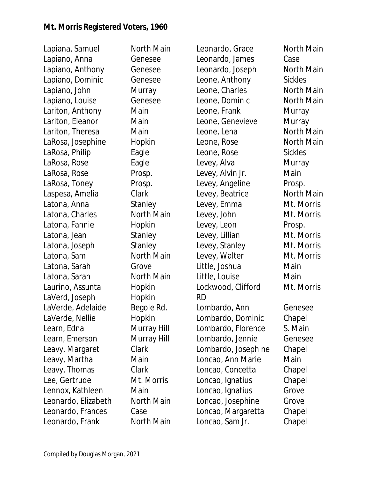Lapiana, Samuel North Main Lapiano, Anna Genesee Lapiano, Anthony Genesee Lapiano, Dominic Genesee Lapiano, John Murray Lapiano, Louise Genesee Lariton, Anthony Main Lariton, Eleanor Main Lariton, Theresa **Main** LaRosa, Josephine Hopkin LaRosa, Philip Eagle LaRosa, Rose Eagle LaRosa, Rose Prosp. LaRosa, Toney Prosp. Laspesa, Amelia Clark Latona, Anna Stanley Latona, Charles **North Main** Latona, Fannie Hopkin Latona, Jean Stanley Latona, Joseph Stanley Latona, Sam North Main Latona, Sarah Grove Latona, Sarah North Main Laurino, Assunta **Hopkin** LaVerd, Joseph Hopkin LaVerde, Adelaide Begole Rd. LaVerde, Nellie and Hopkin Learn, Edna Murray Hill Learn, Emerson Murray Hill Leavy, Margaret Clark Leavy, Martha Main Leavy, Thomas Clark Lee, Gertrude Mt. Morris Lennox, Kathleen Main Leonardo, Elizabeth North Main Leonardo, Frances Case Leonardo, Frank North Main

Leonardo, Grace North Main Leonardo, James Case Leonardo, Joseph North Main Leone, Anthony Sickles Leone, Charles **North Main** Leone, Dominic **North Main** Leone, Frank Murray Leone, Genevieve Murray Leone, Lena North Main Leone, Rose North Main Leone, Rose Sickles Levey, Alva **Murray** Levey, Alvin Jr. Main Levey, Angeline Prosp. Levey, Beatrice North Main Levey, Emma Mt. Morris Levey, John Mt. Morris Levey, Leon Prosp. Levey, Lillian Mt. Morris Levey, Stanley Mt. Morris Levey, Walter Mt. Morris Little, Joshua **Main** Little, Louise Main Lockwood, Clifford Mt. Morris RD Lombardo, Ann Genesee Lombardo, Dominic Chapel Lombardo, Florence S. Main Lombardo, Jennie Genesee Lombardo, Josephine Chapel Loncao, Ann Marie Main Loncao, Concetta Chapel Loncao, Ignatius Chapel Loncao, Ignatius Grove Loncao, Josephine Grove Loncao, Margaretta Chapel Loncao, Sam Jr. Chapel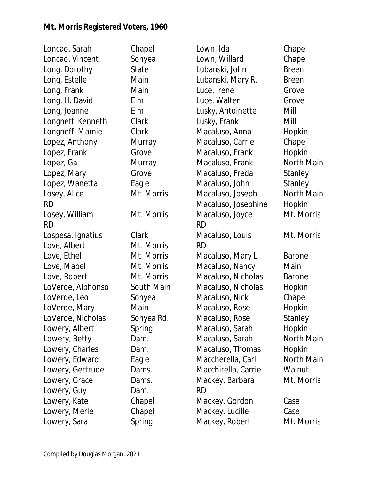| Loncao, Sarah     | Chapel     | Lown, Ida           | Chapel        |
|-------------------|------------|---------------------|---------------|
| Loncao, Vincent   | Sonyea     | Lown, Willard       | Chapel        |
| Long, Dorothy     | State      | Lubanski, John      | <b>Breen</b>  |
| Long, Estelle     | Main       | Lubanski, Mary R.   | <b>Breen</b>  |
| Long, Frank       | Main       | Luce, Irene         | Grove         |
| Long, H. David    | Elm        | Luce. Walter        | Grove         |
| Long, Joanne      | Elm        | Lusky, Antoinette   | Mill          |
| Longneff, Kenneth | Clark      | Lusky, Frank        | Mill          |
| Longneff, Mamie   | Clark      | Macaluso, Anna      | Hopkin        |
| Lopez, Anthony    | Murray     | Macaluso, Carrie    | Chapel        |
| Lopez, Frank      | Grove      | Macaluso, Frank     | Hopkin        |
| Lopez, Gail       | Murray     | Macaluso, Frank     | North Main    |
| Lopez, Mary       | Grove      | Macaluso, Freda     | Stanley       |
| Lopez, Wanetta    | Eagle      | Macaluso, John      | Stanley       |
| Losey, Alice      | Mt. Morris | Macaluso, Joseph    | North Main    |
| <b>RD</b>         |            | Macaluso, Josephine | Hopkin        |
| Losey, William    | Mt. Morris | Macaluso, Joyce     | Mt. Morris    |
| <b>RD</b>         |            | <b>RD</b>           |               |
| Lospesa, Ignatius | Clark      | Macaluso, Louis     | Mt. Morris    |
| Love, Albert      | Mt. Morris | <b>RD</b>           |               |
| Love, Ethel       | Mt. Morris | Macaluso, Mary L.   | <b>Barone</b> |
| Love, Mabel       | Mt. Morris | Macaluso, Nancy     | Main          |
| Love, Robert      | Mt. Morris | Macaluso, Nicholas  | <b>Barone</b> |
| LoVerde, Alphonso | South Main | Macaluso, Nicholas  | Hopkin        |
| LoVerde, Leo      | Sonyea     | Macaluso, Nick      | Chapel        |
| LoVerde, Mary     | Main       | Macaluso, Rose      | Hopkin        |
| LoVerde, Nicholas | Sonyea Rd. | Macaluso, Rose      | Stanley       |
| Lowery, Albert    | Spring     | Macaluso, Sarah     | Hopkin        |
| Lowery, Betty     | Dam.       | Macaluso, Sarah     | North Main    |
| Lowery, Charles   | Dam.       | Macaluso, Thomas    | Hopkin        |
| Lowery, Edward    | Eagle      | Maccherella, Carl   | North Main    |
| Lowery, Gertrude  | Dams.      | Macchirella, Carrie | Walnut        |
| Lowery, Grace     | Dams.      | Mackey, Barbara     | Mt. Morris    |
| Lowery, Guy       | Dam.       | <b>RD</b>           |               |
| Lowery, Kate      | Chapel     | Mackey, Gordon      | Case          |
| Lowery, Merle     | Chapel     | Mackey, Lucille     | Case          |
| Lowery, Sara      | Spring     | Mackey, Robert      | Mt. Morris    |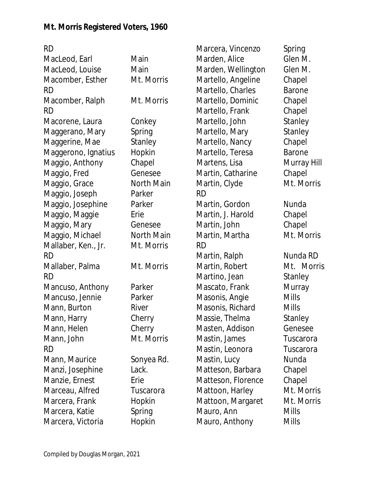RD MacLeod, Earl Main MacLeod, Louise Main Macomber, Esther Mt. Morris RD Macomber, Ralph Mt. Morris RD Macorene, Laura Conkey Maggerano, Mary Spring Maggerine, Mae Stanley Maggerono, Ignatius Hopkin Maggio, Anthony Chapel Maggio, Fred Genesee Maggio, Grace North Main Maggio, Joseph Parker Maggio, Josephine Parker Maggio, Maggie Erie Maggio, Mary **Genesee** Maggio, Michael North Main Mallaber, Ken., Jr. Mt. Morris RD Mallaber, Palma Mt. Morris RD Mancuso, Anthony Parker Mancuso, Jennie Parker Mann, Burton River Mann, Harry Cherry Mann, Helen Cherry Mann, John Mt. Morris RD Mann, Maurice Sonyea Rd. Manzi, Josephine Lack. Manzie, Ernest Erie Marceau, Alfred Tuscarora Marcera, Frank Hopkin Marcera, Katie Spring Marcera, Victoria Hopkin Marcera, Vincenzo Spring Marden, Alice Glen M. Marden, Wellington Glen M. Martello, Angeline Chapel Martello, Charles Barone Martello, Dominic Chapel Martello, Frank Chapel Martello, John Stanley Martello, Mary Stanley Martello, Nancy Chapel Martello, Teresa Barone Martens, Lisa Murray Hill Martin, Catharine Chapel Martin, Clyde Mt. Morris RD Martin, Gordon Nunda Martin, J. Harold Chapel Martin, John Chapel Martin, Martha **Mt. Morris** RD Martin, Ralph Nunda RD Martin, Robert Mt. Morris Martino, Jean Stanley Mascato, Frank Murray Masonis, Angie Mills Masonis, Richard Mills Massie, Thelma Stanley Masten, Addison Genesee Mastin, James Tuscarora Mastin, Leonora Tuscarora Mastin, Lucy Nunda Matteson, Barbara Chapel Matteson, Florence Chapel Mattoon, Harley Mt. Morris Mattoon, Margaret Mt. Morris Mauro, Ann Mills Mauro, Anthony Mills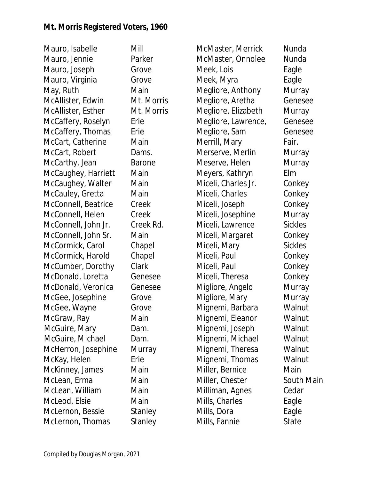Mauro, Isabelle Mill Mauro, Jennie Parker Mauro, Joseph Grove Mauro, Virginia Grove May, Ruth Main McAllister, Edwin Mt. Morris McAllister, Esther Mt. Morris McCaffery, Roselyn Erie McCaffery, Thomas Erie McCart, Catherine Main McCart, Robert Dams. McCarthy, Jean Barone McCaughey, Harriett Main McCaughey, Walter Main McCauley, Gretta Main McConnell, Beatrice Creek McConnell, Helen Creek McConnell, John Jr. Creek Rd. McConnell, John Sr. Main McCormick, Carol Chapel McCormick, Harold Chapel McCumber, Dorothy Clark McDonald, Loretta Genesee McDonald, Veronica Genesee McGee, Josephine Grove McGee, Wayne Grove McGraw, Ray Main McGuire, Mary Dam. McGuire, Michael Dam. McHerron, Josephine Murray McKay, Helen Erie McKinney, James Main McLean, Erma Main McLean, William Main McLeod, Elsie Main McLernon, Bessie Stanley McLernon, Thomas Stanley

McMaster, Merrick Nunda McMaster, Onnolee Nunda Meek, Lois **Eagle** Meek, Myra **Eagle** Megliore, Anthony Murray Megliore, Aretha Genesee Megliore, Elizabeth Murray Megliore, Lawrence, Genesee Megliore, Sam Genesee Merrill, Mary Fair. Merserve, Merlin Murray Meserve, Helen Murray Meyers, Kathryn Elm Miceli, Charles Jr. Conkey Miceli, Charles Conkey Miceli, Joseph Conkey Miceli, Josephine Murray Miceli, Lawrence Sickles Miceli, Margaret Conkey Miceli, Mary Sickles Miceli, Paul **Conkey** Miceli, Paul Conkey Miceli, Theresa Conkey Migliore, Angelo Murray Migliore, Mary **Murray** Mignemi, Barbara Walnut Mignemi, Eleanor Walnut Mignemi, Joseph Walnut Mignemi, Michael Walnut Mignemi, Theresa Walnut Mignemi, Thomas Walnut Miller, Bernice Main Miller, Chester South Main Milliman, Agnes Cedar Mills, Charles Eagle Mills, Dora **Eagle** Mills, Fannie State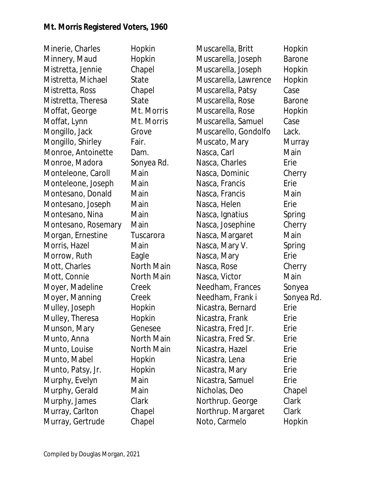Minerie, Charles Hopkin Minnery, Maud Hopkin Mistretta, Jennie Chapel Mistretta, Michael State Mistretta, Ross Chapel Mistretta, Theresa State Moffat, George Mt. Morris Moffat, Lynn Mt. Morris Mongillo, Jack Grove Mongillo, Shirley Fair. Monroe, Antoinette Dam. Monroe, Madora Sonyea Rd. Monteleone, Caroll Main Monteleone, Joseph Main Montesano, Donald Main Montesano, Joseph Main Montesano, Nina Main Montesano, Rosemary Main Morgan, Ernestine Tuscarora Morris, Hazel Main Morrow, Ruth Eagle Mott, Charles North Main Mott, Connie North Main Moyer, Madeline Creek Moyer, Manning Creek Mulley, Joseph Hopkin Mulley, Theresa Hopkin Munson, Mary **Genesee** Munto, Anna North Main Munto, Louise **North Main** Munto, Mabel **Hopkin** Munto, Patsy, Jr. Hopkin Murphy, Evelyn Main Murphy, Gerald Main Murphy, James Clark Murray, Carlton Chapel Murray, Gertrude Chapel

Muscarella, Britt Hopkin Muscarella, Joseph Barone Muscarella, Joseph Hopkin Muscarella, Lawrence Hopkin Muscarella, Patsy Case Muscarella, Rose Barone Muscarella, Rose Hopkin Muscarella, Samuel Case Muscarello, Gondolfo Lack. Muscato, Mary Murray Nasca, Carl Main Nasca, Charles **Erie** Nasca, Dominic Cherry Nasca, Francis **Erie** Nasca, Francis Main Nasca, Helen Erie Nasca, Ignatius Spring Nasca, Josephine Cherry Nasca, Margaret Main Nasca, Mary V. Spring Nasca, Mary **Erie** Nasca, Rose Cherry Nasca, Victor **Main** Needham, Frances Sonyea Needham, Frank i Sonyea Rd. Nicastra, Bernard Erie Nicastra, Frank Erie Nicastra, Fred Jr. Erie Nicastra, Fred Sr. Frie Nicastra, Hazel **Erie** Nicastra, Lena **Erie** Nicastra, Mary **Erie** Nicastra, Samuel Erie Nicholas, Deo Chapel Northrup. George Clark Northrup. Margaret Clark Noto, Carmelo Hopkin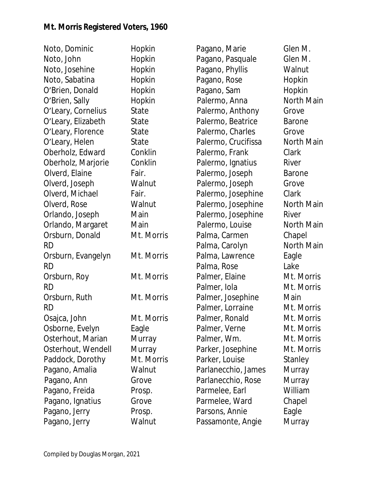| Noto, Dominic<br>Noto, John |
|-----------------------------|
| Noto, Josehine              |
| Noto, Sabatina              |
| O'Brien, Donald             |
| O'Brien, Sally              |
| O'Leary, Cornelius          |
| O'Leary, Elizabeth          |
| O'Leary, Florence           |
| O'Leary, Helen              |
| Oberholz, Edward            |
| Oberholz, Marjorie          |
| Olverd, Elaine              |
| Olverd, Joseph              |
| Olverd, Michael             |
| Olverd, Rose                |
| Orlando, Joseph             |
| Orlando, Margaret           |
| Orsburn, Donald             |
| RD                          |
| Orsburn, Evangelyn          |
| RD                          |
| Orsburn, Roy                |
| <b>RD</b>                   |
| Orsburn, Ruth               |
| <b>RD</b>                   |
| Osajca, John                |
| Osborne, Evelyn             |
| Osterhout, Marian           |
| Osterhout, Wendell          |
| Paddock, Dorothy            |
| Pagano, Amalia              |
| Pagano, Ann                 |
| Pagano, Freida              |
| Pagano, Ignatius            |
| Pagano, Jerry               |
| Pagano, Jerry               |

Hopkin Hopkin Hopkin Hopkin Hopkin Hopkin State State State State Conklin Conklin Fair. Walnut Fair. Walnut Main Main Mt. Morris Mt. Morris Mt. Morris Mt. Morris Mt. Morris Eagle Murray Murray Mt. Morris Walnut Grove Prosp. Grove Prosp. Walnut

Pagano, Marie Glen M. Pagano, Pasquale Glen M. Pagano, Phyllis Walnut Pagano, Rose Hopkin Pagano, Sam Hopkin Palermo, Anna North Main Palermo, Anthony Grove Palermo, Beatrice Barone Palermo, Charles Grove Palermo, Crucifissa Morth Main Palermo, Frank Clark Palermo, Ignatius River Palermo, Joseph Barone Palermo, Joseph Grove Palermo, Josephine Clark Palermo, Josephine North Main Palermo, Josephine River Palermo, Louise **North Main** Palma, Carmen Chapel Palma, Carolyn North Main Palma, Lawrence Eagle Palma, Rose Lake Palmer, Elaine Mt. Morris Palmer, Iola Mt. Morris Palmer, Josephine Main Palmer, Lorraine Mt. Morris Palmer, Ronald Mt. Morris Palmer, Verne Mt. Morris Palmer, Wm. Mt. Morris Parker, Josephine Mt. Morris Parker, Louise Stanley Parlanecchio, James Murray Parlanecchio, Rose Murray Parmelee, Earl William Parmelee, Ward Chapel Parsons, Annie Fagle Passamonte, Angie Murray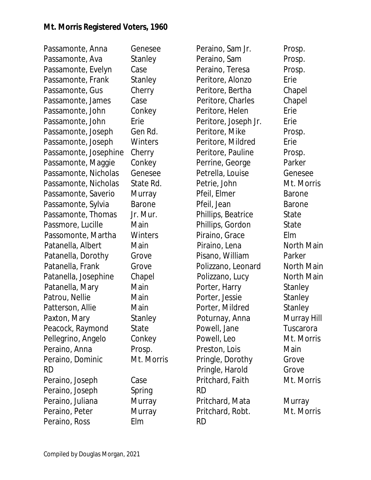Passamonte, Anna Genesee Passamonte, Ava Stanley Passamonte, Evelyn Case Passamonte, Frank Stanley Passamonte, Gus Cherry Passamonte, James Case Passamonte, John Conkey Passamonte, John Erie Passamonte, Joseph Gen Rd. Passamonte, Joseph Winters Passamonte, Josephine Cherry Passamonte, Maggie Conkey Passamonte, Nicholas Genesee Passamonte, Nicholas State Rd. Passamonte, Saverio Murray Passamonte, Sylvia Barone Passamonte, Thomas Jr. Mur. Passmore, Lucille Main Passomonte, Martha Winters Patanella, Albert Main Patanella, Dorothy Grove Patanella, Frank Grove Patanella, Josephine Chapel Patanella, Mary Main Patrou, Nellie Main Patterson, Allie Main Paxton, Mary Stanley Peacock, Raymond State Pellegrino, Angelo Conkey Peraino, Anna Prosp. Peraino, Dominic Mt. Morris RD Peraino, Joseph Case Peraino, Joseph Spring Peraino, Juliana Murray Peraino, Peter Murray Peraino, Ross Elm

Peraino, Sam Jr. Prosp. Peraino, Sam Prosp. Peraino, Teresa Prosp. Peritore, Alonzo Erie Peritore, Bertha Chapel Peritore, Charles Chapel Peritore, Helen Frie Peritore, Joseph Jr. Erie Peritore, Mike Prosp. Peritore, Mildred Erie Peritore, Pauline Prosp. Perrine, George Parker Petrella, Louise Genesee Petrie, John Mt. Morris Pfeil, Elmer Barone Pfeil, Jean Barone Phillips, Beatrice State Phillips, Gordon State Piraino, Grace Elm Piraino, Lena North Main Pisano, William Parker Polizzano, Leonard North Main Polizzano, Lucy North Main Porter, Harry Stanley Porter, Jessie Stanley Porter, Mildred Stanley Poturnay, Anna Murray Hill Powell, Jane Tuscarora Powell, Leo Mt. Morris Preston, Lois Main Pringle, Dorothy Grove Pringle, Harold Grove Pritchard, Faith Mt. Morris RD Pritchard, Mata Murray Pritchard, Robt. Mt. Morris RD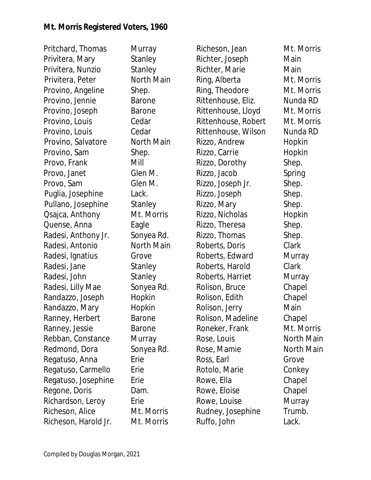Pritchard, Thomas Murray Privitera, Mary Stanley Privitera, Nunzio Stanley Privitera, Peter North Main Provino, Angeline Shep. Provino, Jennie Barone Provino, Joseph Barone Provino, Louis Cedar Provino, Louis Cedar Provino, Salvatore North Main Provino, Sam Shep. Provo, Frank Mill Provo, Janet Glen M. Provo, Sam Glen M. Puglia, Josephine Lack. Pullano, Josephine Stanley Qsajca, Anthony Mt. Morris Quense, Anna Eagle Radesi, Anthony Jr. Sonyea Rd. Radesi, Antonio North Main Radesi, Ignatius Grove Radesi, Jane Stanley Radesi, John Stanley Radesi, Lilly Mae Sonyea Rd. Randazzo, Joseph Hopkin Randazzo, Mary Hopkin Ranney, Herbert Barone Ranney, Jessie Barone Rebban, Constance Murray Redmond, Dora Sonyea Rd. Regatuso, Anna Erie Regatuso, Carmello Erie Regatuso, Josephine Erie Regone, Doris Dam. Richardson, Leroy Erie Richeson, Alice Mt. Morris Richeson, Harold Jr. Mt. Morris

Richeson, Jean Mt. Morris Richter, Joseph Main Richter, Marie **Main** Ring, Alberta Mt. Morris Ring, Theodore Mt. Morris Rittenhouse, Eliz. Nunda RD Rittenhouse, Lloyd Mt. Morris Rittenhouse, Robert Mt. Morris Rittenhouse, Wilson Nunda RD Rizzo, Andrew Hopkin Rizzo, Carrie **Hopkin** Rizzo, Dorothy Shep. Rizzo, Jacob Spring Rizzo, Joseph Jr. Shep. Rizzo, Joseph Shep. Rizzo, Mary Shep. Rizzo, Nicholas Hopkin Rizzo, Theresa Shep. Rizzo, Thomas Shep. Roberts, Doris Clark Roberts, Edward Murray Roberts, Harold Clark Roberts, Harriet Murray Rolison, Bruce Chapel Rolison, Edith Chapel Rolison, Jerry Main Rolison, Madeline Chapel Roneker, Frank Mt. Morris Rose, Louis **North Main** Rose, Mamie  $\overline{\phantom{0}}$  North Main Ross, Earl Grove Rotolo, Marie **Conkey** Rowe, Ella Chapel Rowe, Eloise Chapel Rowe, Louise **Murray** Rudney, Josephine Trumb. Ruffo, John Lack.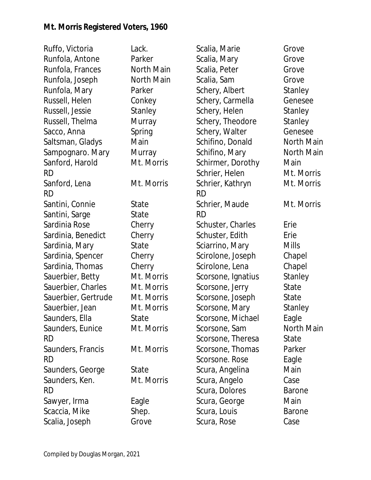| Lack.      | Scalia, Marie      | Grove         |
|------------|--------------------|---------------|
| Parker     | Scalia, Mary       | Grove         |
| North Main | Scalia, Peter      | Grove         |
| North Main | Scalia, Sam        | Grove         |
| Parker     | Schery, Albert     | Stanley       |
| Conkey     | Schery, Carmella   | Genesee       |
| Stanley    | Schery, Helen      | Stanley       |
| Murray     | Schery, Theodore   | Stanley       |
| Spring     | Schery, Walter     | Genesee       |
| Main       | Schifino, Donald   | North Main    |
| Murray     | Schifino, Mary     | North Main    |
| Mt. Morris | Schirmer, Dorothy  | Main          |
|            | Schrier, Helen     | Mt. Morris    |
| Mt. Morris | Schrier, Kathryn   | Mt. Morris    |
|            | <b>RD</b>          |               |
| State      | Schrier, Maude     | Mt. Morris    |
| State      | <b>RD</b>          |               |
| Cherry     | Schuster, Charles  | Erie          |
| Cherry     | Schuster, Edith    | Erie          |
| State      | Sciarrino, Mary    | <b>Mills</b>  |
| Cherry     | Scirolone, Joseph  | Chapel        |
| Cherry     | Scirolone, Lena    | Chapel        |
| Mt. Morris | Scorsone, Ignatius | Stanley       |
| Mt. Morris | Scorsone, Jerry    | State         |
| Mt. Morris | Scorsone, Joseph   | State         |
| Mt. Morris | Scorsone, Mary     | Stanley       |
| State      | Scorsone, Michael  | Eagle         |
| Mt. Morris | Scorsone, Sam      | North Main    |
|            | Scorsone, Theresa  | State         |
| Mt. Morris | Scorsone, Thomas   | Parker        |
|            | Scorsone. Rose     | Eagle         |
| State      | Scura, Angelina    | Main          |
| Mt. Morris | Scura, Angelo      | Case          |
|            | Scura, Dolores     | <b>Barone</b> |
| Eagle      | Scura, George      | Main          |
| Shep.      | Scura, Louis       | <b>Barone</b> |
| Grove      | Scura, Rose        | Case          |
|            |                    |               |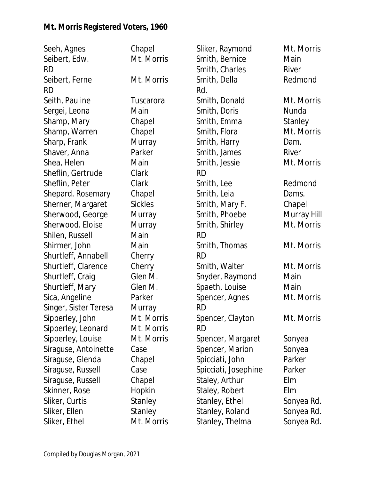| Seeh, Agnes           | Chapel         | Sliker, Raymond      | Mt. Morris  |
|-----------------------|----------------|----------------------|-------------|
| Seibert, Edw.         | Mt. Morris     | Smith, Bernice       | Main        |
| <b>RD</b>             |                | Smith, Charles       | River       |
| Seibert, Ferne        | Mt. Morris     | Smith, Della         | Redmond     |
| <b>RD</b>             |                | Rd.                  |             |
| Seith, Pauline        | Tuscarora      | Smith, Donald        | Mt. Morris  |
| Sergei, Leona         | Main           | Smith, Doris         | Nunda       |
| Shamp, Mary           | Chapel         | Smith, Emma          | Stanley     |
| Shamp, Warren         | Chapel         | Smith, Flora         | Mt. Morris  |
| Sharp, Frank          | Murray         | Smith, Harry         | Dam.        |
| Shaver, Anna          | Parker         | Smith, James         | River       |
| Shea, Helen           | Main           | Smith, Jessie        | Mt. Morris  |
| Sheflin, Gertrude     | Clark          | <b>RD</b>            |             |
| Sheflin, Peter        | Clark          | Smith, Lee           | Redmond     |
| Shepard. Rosemary     | Chapel         | Smith, Leia          | Dams.       |
| Sherner, Margaret     | <b>Sickles</b> | Smith, Mary F.       | Chapel      |
| Sherwood, George      | Murray         | Smith, Phoebe        | Murray Hill |
| Sherwood. Eloise      | Murray         | Smith, Shirley       | Mt. Morris  |
| Shilen, Russell       | Main           | <b>RD</b>            |             |
| Shirmer, John         | Main           | Smith, Thomas        | Mt. Morris  |
| Shurtleff, Annabell   | Cherry         | <b>RD</b>            |             |
| Shurtleff, Clarence   | Cherry         | Smith, Walter        | Mt. Morris  |
| Shurtleff, Craig      | Glen M.        | Snyder, Raymond      | Main        |
| Shurtleff, Mary       | Glen M.        | Spaeth, Louise       | Main        |
| Sica, Angeline        | Parker         | Spencer, Agnes       | Mt. Morris  |
| Singer, Sister Teresa | Murray         | <b>RD</b>            |             |
| Sipperley, John       | Mt. Morris     | Spencer, Clayton     | Mt. Morris  |
| Sipperley, Leonard    | Mt. Morris     | <b>RD</b>            |             |
| Sipperley, Louise     | Mt. Morris     | Spencer, Margaret    | Sonyea      |
| Siraguse, Antoinette  | Case           | Spencer, Marion      | Sonyea      |
| Siraguse, Glenda      | Chapel         | Spicciati, John      | Parker      |
| Siraguse, Russell     | Case           | Spicciati, Josephine | Parker      |
| Siraguse, Russell     | Chapel         | Staley, Arthur       | Elm         |
| Skinner, Rose         | Hopkin         | Staley, Robert       | Elm         |
| Sliker, Curtis        | Stanley        | Stanley, Ethel       | Sonyea Rd.  |
| Sliker, Ellen         | Stanley        | Stanley, Roland      | Sonyea Rd.  |
| Sliker, Ethel         | Mt. Morris     | Stanley, Thelma      | Sonyea Rd.  |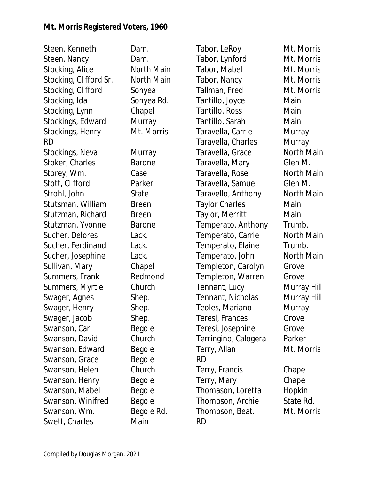Steen, Kenneth Dam. Steen, Nancy Dam. Stocking, Alice North Main Stocking, Clifford Sr. North Main Stocking, Clifford Sonyea Stocking, Ida Sonyea Rd. Stocking, Lynn Chapel Stockings, Edward Murray Stockings, Henry Mt. Morris RD Stockings, Neva Murray Stoker, Charles **Barone** Storey, Wm. Case Stott, Clifford Parker Strohl, John State Stutsman, William Breen Stutzman, Richard Breen Stutzman, Yvonne Barone Sucher, Delores Lack. Sucher, Ferdinand Lack. Sucher, Josephine Lack. Sullivan, Mary Chapel Summers, Frank Redmond Summers, Myrtle Church Swager, Agnes Shep. Swager, Henry Shep. Swager, Jacob Shep. Swanson, Carl Begole Swanson, David Church Swanson, Edward Begole Swanson, Grace Begole Swanson, Helen Church Swanson, Henry Begole Swanson, Mabel Begole Swanson, Winifred Begole Swanson, Wm. Begole Rd. Swett, Charles Main

Tabor, LeRoy Mt. Morris Tabor, Lynford Mt. Morris Tabor, Mabel Mt. Morris Tabor, Nancy Mt. Morris Tallman, Fred Mt. Morris Tantillo, Joyce Main Tantillo, Ross Main Tantillo, Sarah Main Taravella, Carrie Murray Taravella, Charles Murray Taravella, Grace North Main Taravella, Mary Glen M. Taravella, Rose North Main Taravella, Samuel Glen M. Taravello, Anthony North Main Taylor Charles **Main** Taylor, Merritt Main Temperato, Anthony Trumb. Temperato, Carrie North Main Temperato, Elaine Trumb. Temperato, John North Main Templeton, Carolyn Grove Templeton, Warren Grove Tennant, Lucy Murray Hill Tennant, Nicholas Murray Hill Teoles, Mariano Murray Teresi, Frances Grove Teresi, Josephine Grove Terringino, Calogera Parker Terry, Allan Mt. Morris RD Terry, Francis Chapel Terry, Mary Chapel Thomason, Loretta Hopkin Thompson, Archie State Rd. Thompson, Beat. Mt. Morris RD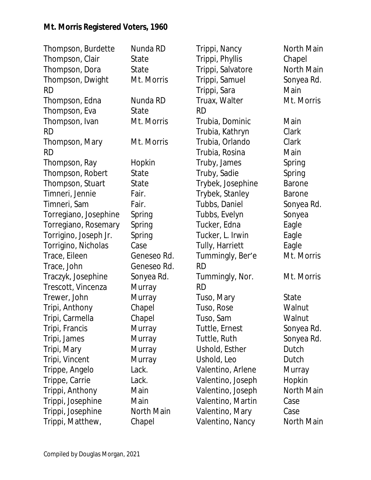| Thompson, Burdette    | Nunda RD    | Trippi, Nancy     | North Main    |
|-----------------------|-------------|-------------------|---------------|
| Thompson, Clair       | State       | Trippi, Phyllis   | Chapel        |
| Thompson, Dora        | State       | Trippi, Salvatore | North Main    |
| Thompson, Dwight      | Mt. Morris  | Trippi, Samuel    | Sonyea Rd.    |
| <b>RD</b>             |             | Trippi, Sara      | Main          |
| Thompson, Edna        | Nunda RD    | Truax, Walter     | Mt. Morris    |
| Thompson, Eva         | State       | <b>RD</b>         |               |
| Thompson, Ivan        | Mt. Morris  | Trubia, Dominic   | Main          |
| <b>RD</b>             |             | Trubia, Kathryn   | Clark         |
| Thompson, Mary        | Mt. Morris  | Trubia, Orlando   | Clark         |
| <b>RD</b>             |             | Trubia, Rosina    | Main          |
| Thompson, Ray         | Hopkin      | Truby, James      | Spring        |
| Thompson, Robert      | State       | Truby, Sadie      | Spring        |
| Thompson, Stuart      | State       | Trybek, Josephine | <b>Barone</b> |
| Timneri, Jennie       | Fair.       | Trybek, Stanley   | <b>Barone</b> |
| Timneri, Sam          | Fair.       | Tubbs, Daniel     | Sonyea Rd.    |
| Torregiano, Josephine | Spring      | Tubbs, Evelyn     | Sonyea        |
| Torregiano, Rosemary  | Spring      | Tucker, Edna      | Eagle         |
| Torrigino, Joseph Jr. | Spring      | Tucker, L. Irwin  | Eagle         |
| Torrigino, Nicholas   | Case        | Tully, Harriett   | Eagle         |
| Trace, Eileen         | Geneseo Rd. | Tummingly, Ber'e  | Mt. Morris    |
| Trace, John           | Geneseo Rd. | <b>RD</b>         |               |
| Traczyk, Josephine    | Sonyea Rd.  | Tummingly, Nor.   | Mt. Morris    |
| Trescott, Vincenza    | Murray      | <b>RD</b>         |               |
| Trewer, John          | Murray      | Tuso, Mary        | State         |
| Tripi, Anthony        | Chapel      | Tuso, Rose        | Walnut        |
| Tripi, Carmella       | Chapel      | Tuso, Sam         | Walnut        |
| Tripi, Francis        | Murray      | Tuttle, Ernest    | Sonyea Rd.    |
| Tripi, James          | Murray      | Tuttle, Ruth      | Sonyea Rd.    |
| Tripi, Mary           | Murray      | Ushold, Esther    | Dutch         |
| Tripi, Vincent        | Murray      | Ushold, Leo       | Dutch         |
| Trippe, Angelo        | Lack.       | Valentino, Arlene | Murray        |
| Trippe, Carrie        | Lack.       | Valentino, Joseph | Hopkin        |
| Trippi, Anthony       | Main        | Valentino, Joseph | North Main    |
| Trippi, Josephine     | Main        | Valentino, Martin | Case          |
| Trippi, Josephine     | North Main  | Valentino, Mary   | Case          |
| Trippi, Matthew,      | Chapel      | Valentino, Nancy  | North Main    |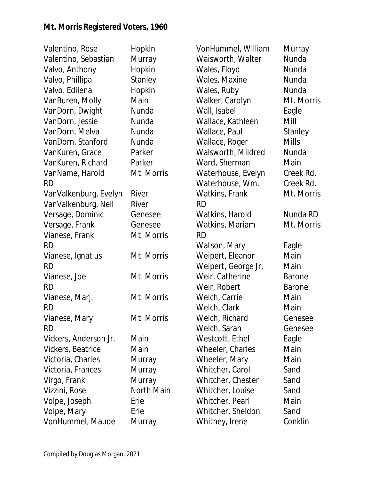| Valentino, Rose       | Hopkin     | VonHummel, William  | Murray        |
|-----------------------|------------|---------------------|---------------|
| Valentino, Sebastian  | Murray     | Waisworth, Walter   | Nunda         |
| Valvo, Anthony        | Hopkin     | Wales, Floyd        | Nunda         |
| Valvo, Phillipa       | Stanley    | Wales, Maxine       | Nunda         |
| Valvo. Edilena        | Hopkin     | Wales, Ruby         | Nunda         |
| VanBuren, Molly       | Main       | Walker, Carolyn     | Mt. Morris    |
| VanDorn, Dwight       | Nunda      | Wall, Isabel        | Eagle         |
| VanDorn, Jessie       | Nunda      | Wallace, Kathleen   | Mill          |
| VanDorn, Melva        | Nunda      | Wallace, Paul       | Stanley       |
| VanDorn, Stanford     | Nunda      | Wallace, Roger      | <b>Mills</b>  |
| VanKuren, Grace       | Parker     | Walsworth, Mildred  | Nunda         |
| VanKuren, Richard     | Parker     | Ward, Sherman       | Main          |
| VanName, Harold       | Mt. Morris | Waterhouse, Evelyn  | Creek Rd.     |
| <b>RD</b>             |            | Waterhouse, Wm.     | Creek Rd.     |
| VanValkenburg, Evelyn | River      | Watkins, Frank      | Mt. Morris    |
| VanValkenburg, Neil   | River      | <b>RD</b>           |               |
| Versage, Dominic      | Genesee    | Watkins, Harold     | Nunda RD      |
| Versage, Frank        | Genesee    | Watkins, Mariam     | Mt. Morris    |
| Vianese, Frank        | Mt. Morris | <b>RD</b>           |               |
| <b>RD</b>             |            | Watson, Mary        | Eagle         |
| Vianese, Ignatius     | Mt. Morris | Weipert, Eleanor    | Main          |
| <b>RD</b>             |            | Weipert, George Jr. | Main          |
| Vianese, Joe          | Mt. Morris | Weir, Catherine     | <b>Barone</b> |
| <b>RD</b>             |            | Weir, Robert        | <b>Barone</b> |
| Vianese, Marj.        | Mt. Morris | Welch, Carrie       | Main          |
| <b>RD</b>             |            | Welch, Clark        | Main          |
| Vianese, Mary         | Mt. Morris | Welch, Richard      | Genesee       |
| <b>RD</b>             |            | Welch, Sarah        | Genesee       |
| Vickers, Anderson Jr. | Main       | Westcott, Ethel     | Eagle         |
| Vickers, Beatrice     | Main       | Wheeler, Charles    | Main          |
| Victoria, Charles     | Murray     | Wheeler, Mary       | Main          |
| Victoria, Frances     | Murray     | Whitcher, Carol     | Sand          |
| Virgo, Frank          | Murray     | Whitcher, Chester   | Sand          |
| Vizzini, Rose         | North Main | Whitcher, Louise    | Sand          |
| Volpe, Joseph         | Erie       | Whitcher, Pearl     | Main          |
| Volpe, Mary           | Erie       | Whitcher, Sheldon   | Sand          |
| VonHummel, Maude      | Murray     | Whitney, Irene      | Conklin       |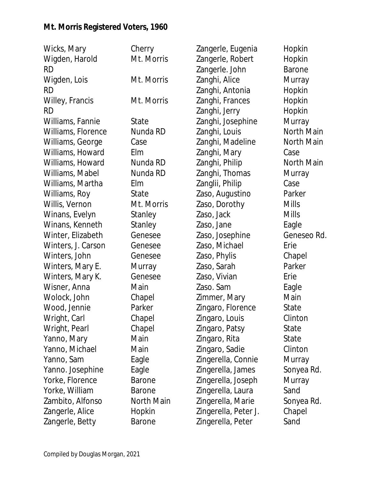| Wicks, Mary        | Cherry        | Zangerle, Eugenia    | Hopkin        |
|--------------------|---------------|----------------------|---------------|
| Wigden, Harold     | Mt. Morris    | Zangerle, Robert     | Hopkin        |
| <b>RD</b>          |               | Zangerle. John       | <b>Barone</b> |
| Wigden, Lois       | Mt. Morris    | Zanghi, Alice        | Murray        |
| <b>RD</b>          |               | Zanghi, Antonia      | Hopkin        |
| Willey, Francis    | Mt. Morris    | Zanghi, Frances      | Hopkin        |
| <b>RD</b>          |               | Zanghi, Jerry        | Hopkin        |
| Williams, Fannie   | State         | Zanghi, Josephine    | Murray        |
| Williams, Florence | Nunda RD      | Zanghi, Louis        | North Main    |
| Williams, George   | Case          | Zanghi, Madeline     | North Main    |
| Williams, Howard   | Elm           | Zanghi, Mary         | Case          |
| Williams, Howard   | Nunda RD      | Zanghi, Philip       | North Main    |
| Williams, Mabel    | Nunda RD      | Zanghi, Thomas       | Murray        |
| Williams, Martha   | Elm           | Zanglii, Philip      | Case          |
| Williams, Roy      | State         | Zaso, Augustino      | Parker        |
| Willis, Vernon     | Mt. Morris    | Zaso, Dorothy        | <b>Mills</b>  |
| Winans, Evelyn     | Stanley       | Zaso, Jack           | <b>Mills</b>  |
| Winans, Kenneth    | Stanley       | Zaso, Jane           | Eagle         |
| Winter, Elizabeth  | Genesee       | Zaso, Josephine      | Geneseo Rd.   |
| Winters, J. Carson | Genesee       | Zaso, Michael        | Erie          |
| Winters, John      | Genesee       | Zaso, Phylis         | Chapel        |
| Winters, Mary E.   | Murray        | Zaso, Sarah          | Parker        |
| Winters, Mary K.   | Genesee       | Zaso, Vivian         | Erie          |
| Wisner, Anna       | Main          | Zaso. Sam            | Eagle         |
| Wolock, John       | Chapel        | Zimmer, Mary         | Main          |
| Wood, Jennie       | Parker        | Zingaro, Florence    | State         |
| Wright, Carl       | Chapel        | Zingaro, Louis       | Clinton       |
| Wright, Pearl      | Chapel        | Zingaro, Patsy       | State         |
| Yanno, Mary        | Main          | Zingaro, Rita        | State         |
| Yanno, Michael     | Main          | Zingaro, Sadie       | Clinton       |
| Yanno, Sam         | Eagle         | Zingerella, Connie   | Murray        |
| Yanno. Josephine   | Eagle         | Zingerella, James    | Sonyea Rd.    |
| Yorke, Florence    | <b>Barone</b> | Zingerella, Joseph   | Murray        |
| Yorke, William     | <b>Barone</b> | Zingerella, Laura    | Sand          |
| Zambito, Alfonso   | North Main    | Zingerella, Marie    | Sonyea Rd.    |
| Zangerle, Alice    | Hopkin        | Zingerella, Peter J. | Chapel        |
| Zangerle, Betty    | <b>Barone</b> | Zingerella, Peter    | Sand          |